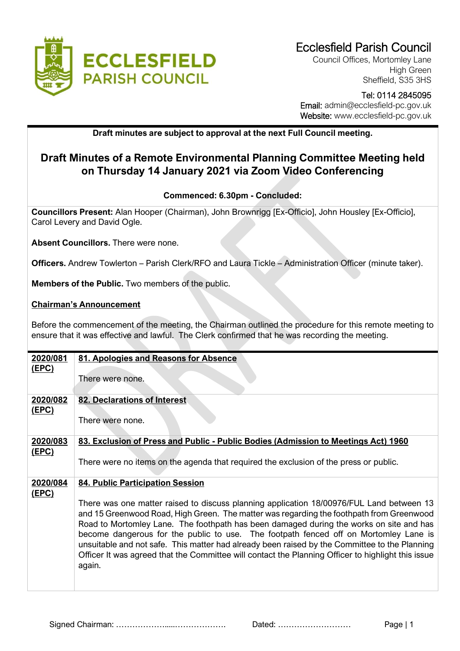

Council Offices, Mortomley Lane High Green Sheffield, S35 3HS

# Tel: 0114 2845095 Email: admin@ecclesfield-pc.gov.uk Website: www.ecclesfield-pc.gov.uk

# **Draft minutes are subject to approval at the next Full Council meeting.**

# **Draft Minutes of a Remote Environmental Planning Committee Meeting held on Thursday 14 January 2021 via Zoom Video Conferencing**

### **Commenced: 6.30pm - Concluded:**

**Councillors Present:** Alan Hooper (Chairman), John Brownrigg [Ex-Officio], John Housley [Ex-Officio], Carol Levery and David Ogle.

**Absent Councillors.** There were none.

**Officers.** Andrew Towlerton – Parish Clerk/RFO and Laura Tickle – Administration Officer (minute taker).

**Members of the Public.** Two members of the public.

#### **Chairman's Announcement**

Before the commencement of the meeting, the Chairman outlined the procedure for this remote meeting to ensure that it was effective and lawful. The Clerk confirmed that he was recording the meeting.

| 2020/081     | 81. Apologies and Reasons for Absence                                                              |
|--------------|----------------------------------------------------------------------------------------------------|
| <u>(EPC)</u> |                                                                                                    |
|              | There were none.                                                                                   |
|              |                                                                                                    |
|              |                                                                                                    |
| 2020/082     | 82. Declarations of Interest                                                                       |
| <u>(EPC)</u> |                                                                                                    |
|              | There were none.                                                                                   |
|              |                                                                                                    |
| 2020/083     | 83. Exclusion of Press and Public - Public Bodies (Admission to Meetings Act) 1960                 |
| <u>(EPC)</u> |                                                                                                    |
|              | There were no items on the agenda that required the exclusion of the press or public.              |
|              |                                                                                                    |
| 2020/084     | <b>84. Public Participation Session</b>                                                            |
| <u>(EPC)</u> |                                                                                                    |
|              | There was one matter raised to discuss planning application 18/00976/FUL Land between 13           |
|              | and 15 Greenwood Road, High Green. The matter was regarding the foothpath from Greenwood           |
|              | Road to Mortomley Lane. The foothpath has been damaged during the works on site and has            |
|              | become dangerous for the public to use. The footpath fenced off on Mortomley Lane is               |
|              | unsuitable and not safe. This matter had already been raised by the Committee to the Planning      |
|              | Officer It was agreed that the Committee will contact the Planning Officer to highlight this issue |
|              | again.                                                                                             |
|              |                                                                                                    |
|              |                                                                                                    |